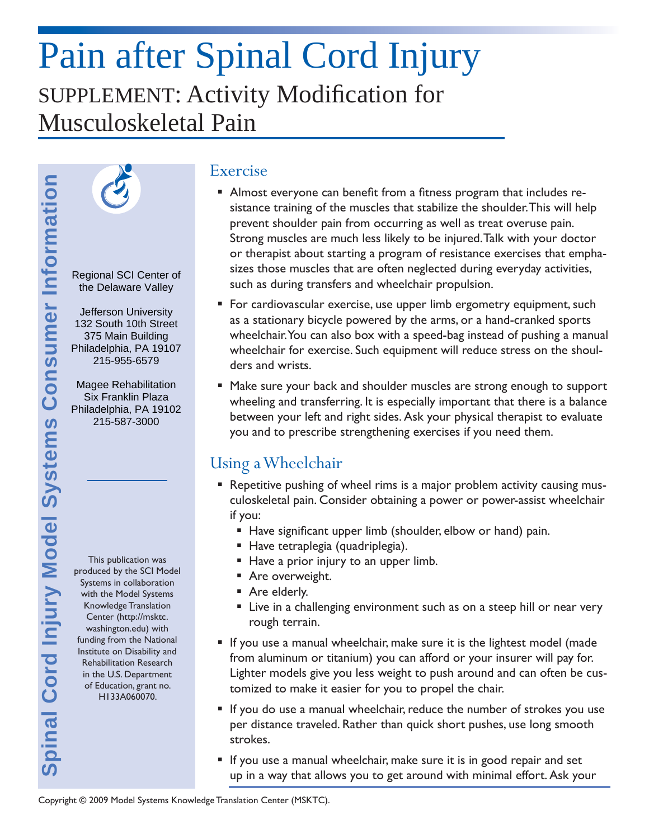# Pain after Spinal Cord Injury SUPPLEMENT: Activity Modification for Musculoskeletal Pain



Regional SCI Center of the Delaware Valley

Jefferson University 132 South 10th Street 375 Main Building Philadelphia, PA 19107 215-955-6579

Magee Rehabilitation Six Franklin Plaza Philadelphia, PA 19102 215-587-3000

This publication was produced by the SCI Model Systems in collaboration with the Model Systems Knowledge Translation Center (http://msktc. washington.edu) with funding from the National Institute on Disability and Rehabilitation Research in the U.S. Department of Education, grant no. H133A060070.

#### Exercise

- **Almost everyone can benefit from a fitness program that includes re**sistance training of the muscles that stabilize the shoulder. This will help prevent shoulder pain from occurring as well as treat overuse pain. Strong muscles are much less likely to be injured. Talk with your doctor or therapist about starting a program of resistance exercises that emphasizes those muscles that are often neglected during everyday activities, such as during transfers and wheelchair propulsion.
- For cardiovascular exercise, use upper limb ergometry equipment, such as a stationary bicycle powered by the arms, or a hand-cranked sports wheelchair. You can also box with a speed-bag instead of pushing a manual wheelchair for exercise. Such equipment will reduce stress on the shoulders and wrists.
- Make sure your back and shoulder muscles are strong enough to support wheeling and transferring. It is especially important that there is a balance between your left and right sides. Ask your physical therapist to evaluate you and to prescribe strengthening exercises if you need them.

### Using a Wheelchair

- Repetitive pushing of wheel rims is a major problem activity causing musculoskeletal pain. Consider obtaining a power or power-assist wheelchair if you:
	- Have significant upper limb (shoulder, elbow or hand) pain.
	- Have tetraplegia (quadriplegia).
	- Have a prior injury to an upper limb.
	- **Are overweight.**
	- Are elderly.
	- **EXECT** Live in a challenging environment such as on a steep hill or near very rough terrain.
- If you use a manual wheelchair, make sure it is the lightest model (made from aluminum or titanium) you can afford or your insurer will pay for. Lighter models give you less weight to push around and can often be customized to make it easier for you to propel the chair.
- If you do use a manual wheelchair, reduce the number of strokes you use per distance traveled. Rather than quick short pushes, use long smooth strokes.
- If you use a manual wheelchair, make sure it is in good repair and set up in a way that allows you to get around with minimal effort. Ask your